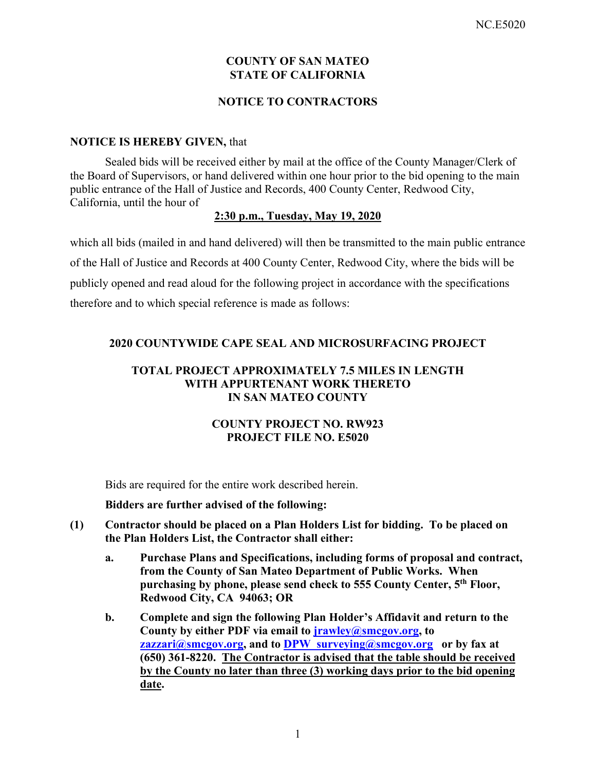## **COUNTY OF SAN MATEO STATE OF CALIFORNIA**

## **NOTICE TO CONTRACTORS**

#### **NOTICE IS HEREBY GIVEN,** that

Sealed bids will be received either by mail at the office of the County Manager/Clerk of the Board of Supervisors, or hand delivered within one hour prior to the bid opening to the main public entrance of the Hall of Justice and Records, 400 County Center, Redwood City, California, until the hour of

#### **2:30 p.m., Tuesday, May 19, 2020**

which all bids (mailed in and hand delivered) will then be transmitted to the main public entrance of the Hall of Justice and Records at 400 County Center, Redwood City, where the bids will be publicly opened and read aloud for the following project in accordance with the specifications therefore and to which special reference is made as follows:

#### **2020 COUNTYWIDE CAPE SEAL AND MICROSURFACING PROJECT**

#### **TOTAL PROJECT APPROXIMATELY 7.5 MILES IN LENGTH WITH APPURTENANT WORK THERETO IN SAN MATEO COUNTY**

### **COUNTY PROJECT NO. RW923 PROJECT FILE NO. E5020**

Bids are required for the entire work described herein.

#### **Bidders are further advised of the following:**

- **(1) Contractor should be placed on a Plan Holders List for bidding. To be placed on the Plan Holders List, the Contractor shall either:** 
	- **a. Purchase Plans and Specifications, including forms of proposal and contract, from the County of San Mateo Department of Public Works. When purchasing by phone, please send check to 555 County Center, 5th Floor, Redwood City, CA 94063; OR**
	- **b. Complete and sign the following Plan Holder's Affidavit and return to the County by either PDF via email to jrawley@smcgov.org, to zazzari@smcgov.org, and to DPW\_surveying@smcgov.org or by fax at (650) 361-8220. The Contractor is advised that the table should be received by the County no later than three (3) working days prior to the bid opening date.**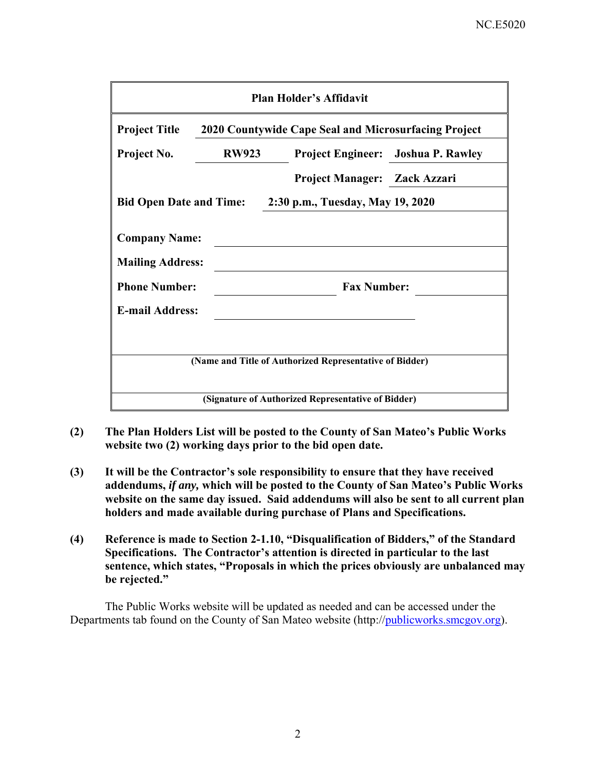| <b>Plan Holder's Affidavit</b>                           |              |                                                         |                                           |  |  |  |
|----------------------------------------------------------|--------------|---------------------------------------------------------|-------------------------------------------|--|--|--|
| <b>Project Title</b>                                     |              | 2020 Countywide Cape Seal and Microsurfacing Project    |                                           |  |  |  |
| Project No.                                              | <b>RW923</b> |                                                         | <b>Project Engineer:</b> Joshua P. Rawley |  |  |  |
|                                                          |              | Project Manager: Zack Azzari                            |                                           |  |  |  |
| Bid Open Date and Time: 2:30 p.m., Tuesday, May 19, 2020 |              |                                                         |                                           |  |  |  |
| <b>Company Name:</b><br><b>Mailing Address:</b>          |              |                                                         |                                           |  |  |  |
| <b>Phone Number:</b>                                     |              | <b>Fax Number:</b>                                      |                                           |  |  |  |
| <b>E-mail Address:</b>                                   |              |                                                         |                                           |  |  |  |
|                                                          |              |                                                         |                                           |  |  |  |
|                                                          |              | (Name and Title of Authorized Representative of Bidder) |                                           |  |  |  |
| (Signature of Authorized Representative of Bidder)       |              |                                                         |                                           |  |  |  |

- **(2) The Plan Holders List will be posted to the County of San Mateo's Public Works website two (2) working days prior to the bid open date.**
- **(3) It will be the Contractor's sole responsibility to ensure that they have received addendums,** *if any,* **which will be posted to the County of San Mateo's Public Works website on the same day issued. Said addendums will also be sent to all current plan holders and made available during purchase of Plans and Specifications.**
- **(4) Reference is made to Section 2-1.10, "Disqualification of Bidders," of the Standard Specifications. The Contractor's attention is directed in particular to the last sentence, which states, "Proposals in which the prices obviously are unbalanced may be rejected."**

The Public Works website will be updated as needed and can be accessed under the Departments tab found on the County of San Mateo website (http://publicworks.smcgov.org).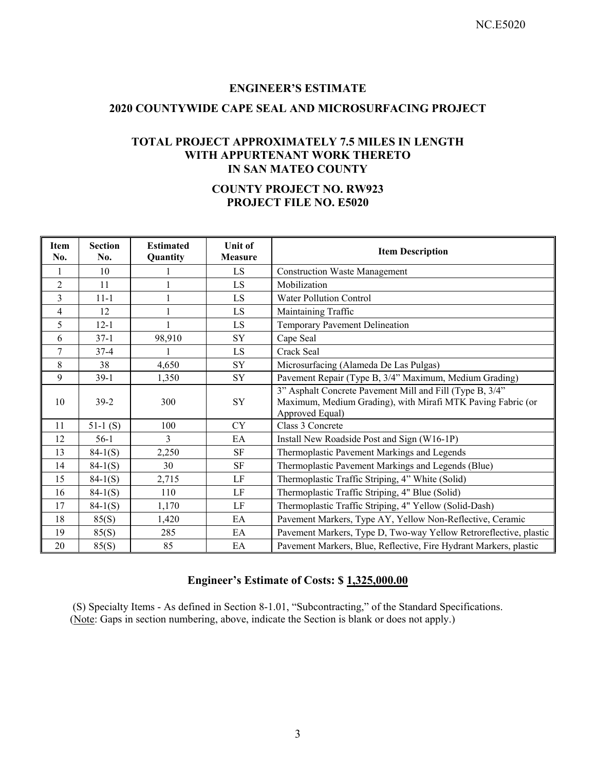#### **ENGINEER'S ESTIMATE**

#### **2020 COUNTYWIDE CAPE SEAL AND MICROSURFACING PROJECT**

#### **TOTAL PROJECT APPROXIMATELY 7.5 MILES IN LENGTH WITH APPURTENANT WORK THERETO IN SAN MATEO COUNTY**

# **COUNTY PROJECT NO. RW923 PROJECT FILE NO. E5020**

| <b>Item</b><br>No. | <b>Section</b><br>No. | <b>Estimated</b><br>Quantity | <b>Unit of</b><br><b>Measure</b> | <b>Item Description</b>                                                                                                                    |
|--------------------|-----------------------|------------------------------|----------------------------------|--------------------------------------------------------------------------------------------------------------------------------------------|
| $\mathbf{1}$       | 10 <sup>10</sup>      | 1                            | <b>LS</b>                        | <b>Construction Waste Management</b>                                                                                                       |
| $\overline{2}$     | 11                    | $\mathbf{1}$                 | LS                               | Mobilization                                                                                                                               |
| 3                  | $11 - 1$              | $\mathbf{1}$                 | LS                               | <b>Water Pollution Control</b>                                                                                                             |
| $\overline{4}$     | 12                    | 1                            | LS                               | Maintaining Traffic                                                                                                                        |
| 5                  | $12 - 1$              | $\mathbf{1}$                 | LS                               | Temporary Pavement Delineation                                                                                                             |
| 6                  | $37-1$                | 98,910                       | SY                               | Cape Seal                                                                                                                                  |
| 7                  | $37 - 4$              |                              | LS                               | Crack Seal                                                                                                                                 |
| 8                  | 38                    | 4,650                        | <b>SY</b>                        | Microsurfacing (Alameda De Las Pulgas)                                                                                                     |
| 9                  | $39-1$                | 1,350                        | SY                               | Pavement Repair (Type B, 3/4" Maximum, Medium Grading)                                                                                     |
| 10                 | $39-2$                | 300                          | <b>SY</b>                        | 3" Asphalt Concrete Pavement Mill and Fill (Type B, 3/4"<br>Maximum, Medium Grading), with Mirafi MTK Paving Fabric (or<br>Approved Equal) |
| 11                 | $51-1(S)$             | 100                          | <b>CY</b>                        | Class 3 Concrete                                                                                                                           |
| 12                 | $56-1$                | 3                            | EA                               | Install New Roadside Post and Sign (W16-1P)                                                                                                |
| 13                 | $84-1(S)$             | 2,250                        | $\rm SF$                         | Thermoplastic Pavement Markings and Legends                                                                                                |
| 14                 | $84-1(S)$             | 30                           | <b>SF</b>                        | Thermoplastic Pavement Markings and Legends (Blue)                                                                                         |
| 15                 | $84-1(S)$             | 2,715                        | LF                               | Thermoplastic Traffic Striping, 4" White (Solid)                                                                                           |
| 16                 | $84-1(S)$             | 110                          | LF                               | Thermoplastic Traffic Striping, 4" Blue (Solid)                                                                                            |
| 17                 | $84-1(S)$             | 1,170                        | LF                               | Thermoplastic Traffic Striping, 4" Yellow (Solid-Dash)                                                                                     |
| 18                 | 85(S)                 | 1,420                        | EA                               | Pavement Markers, Type AY, Yellow Non-Reflective, Ceramic                                                                                  |
| 19                 | 85(S)                 | 285                          | EA                               | Pavement Markers, Type D, Two-way Yellow Retroreflective, plastic                                                                          |
| 20                 | 85(S)                 | 85                           | EA                               | Pavement Markers, Blue, Reflective, Fire Hydrant Markers, plastic                                                                          |

# **Engineer's Estimate of Costs: \$ 1,325,000.00**

 (S) Specialty Items - As defined in Section 8-1.01, "Subcontracting," of the Standard Specifications. (Note: Gaps in section numbering, above, indicate the Section is blank or does not apply.)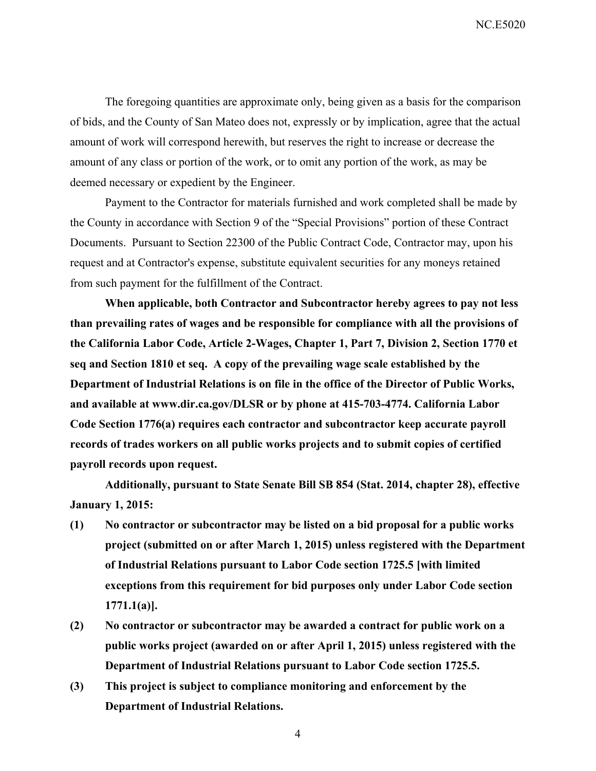NC.E5020

The foregoing quantities are approximate only, being given as a basis for the comparison of bids, and the County of San Mateo does not, expressly or by implication, agree that the actual amount of work will correspond herewith, but reserves the right to increase or decrease the amount of any class or portion of the work, or to omit any portion of the work, as may be deemed necessary or expedient by the Engineer.

Payment to the Contractor for materials furnished and work completed shall be made by the County in accordance with Section 9 of the "Special Provisions" portion of these Contract Documents. Pursuant to Section 22300 of the Public Contract Code, Contractor may, upon his request and at Contractor's expense, substitute equivalent securities for any moneys retained from such payment for the fulfillment of the Contract.

**When applicable, both Contractor and Subcontractor hereby agrees to pay not less than prevailing rates of wages and be responsible for compliance with all the provisions of the California Labor Code, Article 2-Wages, Chapter 1, Part 7, Division 2, Section 1770 et seq and Section 1810 et seq. A copy of the prevailing wage scale established by the Department of Industrial Relations is on file in the office of the Director of Public Works, and available at www.dir.ca.gov/DLSR or by phone at 415-703-4774. California Labor Code Section 1776(a) requires each contractor and subcontractor keep accurate payroll records of trades workers on all public works projects and to submit copies of certified payroll records upon request.** 

**Additionally, pursuant to State Senate Bill SB 854 (Stat. 2014, chapter 28), effective January 1, 2015:** 

- **(1) No contractor or subcontractor may be listed on a bid proposal for a public works project (submitted on or after March 1, 2015) unless registered with the Department of Industrial Relations pursuant to Labor Code section 1725.5 [with limited exceptions from this requirement for bid purposes only under Labor Code section 1771.1(a)].**
- **(2) No contractor or subcontractor may be awarded a contract for public work on a public works project (awarded on or after April 1, 2015) unless registered with the Department of Industrial Relations pursuant to Labor Code section 1725.5.**
- **(3) This project is subject to compliance monitoring and enforcement by the Department of Industrial Relations.**

4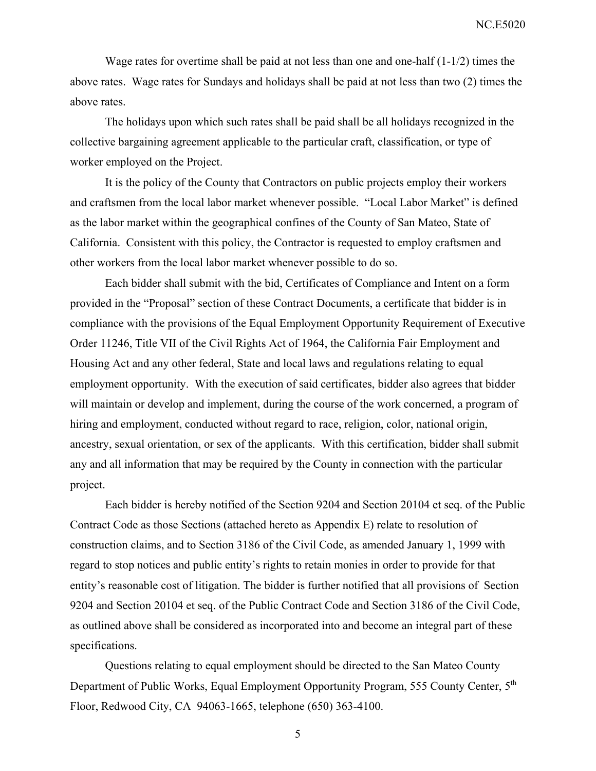NC.E5020

Wage rates for overtime shall be paid at not less than one and one-half (1-1/2) times the above rates. Wage rates for Sundays and holidays shall be paid at not less than two (2) times the above rates.

The holidays upon which such rates shall be paid shall be all holidays recognized in the collective bargaining agreement applicable to the particular craft, classification, or type of worker employed on the Project.

It is the policy of the County that Contractors on public projects employ their workers and craftsmen from the local labor market whenever possible. "Local Labor Market" is defined as the labor market within the geographical confines of the County of San Mateo, State of California. Consistent with this policy, the Contractor is requested to employ craftsmen and other workers from the local labor market whenever possible to do so.

Each bidder shall submit with the bid, Certificates of Compliance and Intent on a form provided in the "Proposal" section of these Contract Documents, a certificate that bidder is in compliance with the provisions of the Equal Employment Opportunity Requirement of Executive Order 11246, Title VII of the Civil Rights Act of 1964, the California Fair Employment and Housing Act and any other federal, State and local laws and regulations relating to equal employment opportunity. With the execution of said certificates, bidder also agrees that bidder will maintain or develop and implement, during the course of the work concerned, a program of hiring and employment, conducted without regard to race, religion, color, national origin, ancestry, sexual orientation, or sex of the applicants. With this certification, bidder shall submit any and all information that may be required by the County in connection with the particular project.

Each bidder is hereby notified of the Section 9204 and Section 20104 et seq. of the Public Contract Code as those Sections (attached hereto as Appendix E) relate to resolution of construction claims, and to Section 3186 of the Civil Code, as amended January 1, 1999 with regard to stop notices and public entity's rights to retain monies in order to provide for that entity's reasonable cost of litigation. The bidder is further notified that all provisions of Section 9204 and Section 20104 et seq. of the Public Contract Code and Section 3186 of the Civil Code, as outlined above shall be considered as incorporated into and become an integral part of these specifications.

Questions relating to equal employment should be directed to the San Mateo County Department of Public Works, Equal Employment Opportunity Program, 555 County Center, 5<sup>th</sup> Floor, Redwood City, CA 94063-1665, telephone (650) 363-4100.

5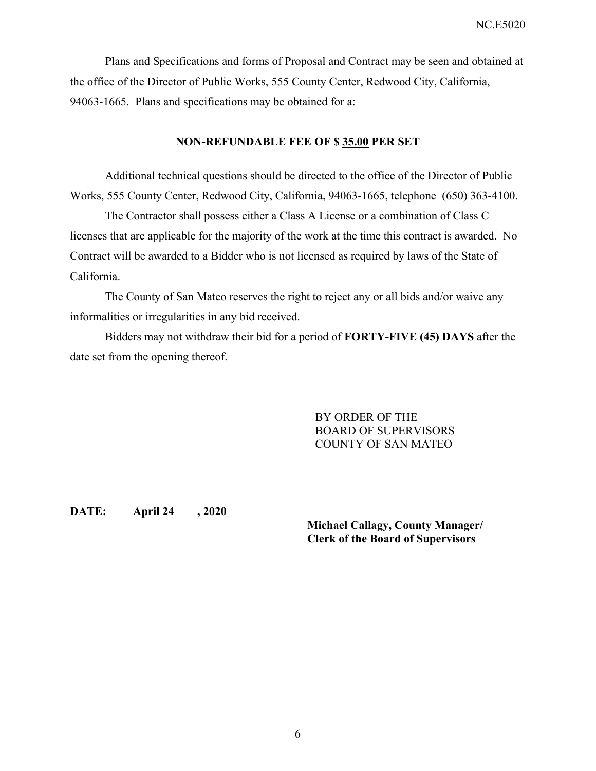Plans and Specifications and forms of Proposal and Contract may be seen and obtained at the office of the Director of Public Works, 555 County Center, Redwood City, California, 94063-1665. Plans and specifications may be obtained for a:

#### **NON-REFUNDABLE FEE OF \$ 35.00 PER SET**

Additional technical questions should be directed to the office of the Director of Public Works, 555 County Center, Redwood City, California, 94063-1665, telephone (650) 363-4100.

The Contractor shall possess either a Class A License or a combination of Class C licenses that are applicable for the majority of the work at the time this contract is awarded. No Contract will be awarded to a Bidder who is not licensed as required by laws of the State of California.

The County of San Mateo reserves the right to reject any or all bids and/or waive any informalities or irregularities in any bid received.

Bidders may not withdraw their bid for a period of **FORTY-FIVE (45) DAYS** after the date set from the opening thereof.

> BY ORDER OF THE BOARD OF SUPERVISORS COUNTY OF SAN MATEO

**DATE: April 24 , 2020** 

**Michael Callagy, County Manager/ Clerk of the Board of Supervisors**